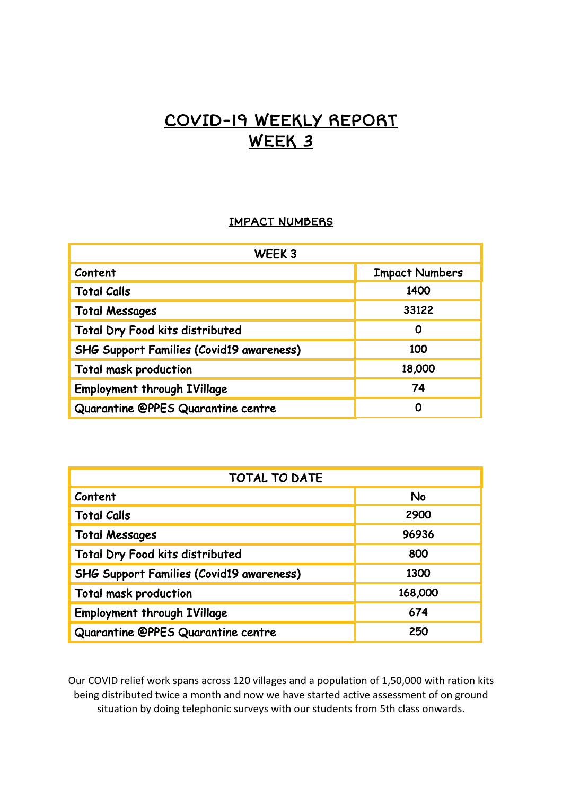## COVID-19 WEEKLY REPORT WEEK 3

## IMPACT NUMBERS

| WEEK <sub>3</sub>                               |                       |
|-------------------------------------------------|-----------------------|
| Content                                         | <b>Impact Numbers</b> |
| <b>Total Calls</b>                              | 1400                  |
| <b>Total Messages</b>                           | 33122                 |
| Total Dry Food kits distributed                 | 0                     |
| <b>SHG Support Families (Covid19 awareness)</b> | 100                   |
| <b>Total mask production</b>                    | 18,000                |
| <b>Employment through IVillage</b>              | 74                    |
| Quarantine @PPES Quarantine centre              | 0                     |

| <b>TOTAL TO DATE</b>                            |         |
|-------------------------------------------------|---------|
| Content                                         | No      |
| <b>Total Calls</b>                              | 2900    |
| <b>Total Messages</b>                           | 96936   |
| Total Dry Food kits distributed                 | 800     |
| <b>SHG Support Families (Covid19 awareness)</b> | 1300    |
| <b>Total mask production</b>                    | 168,000 |
| <b>Employment through IVillage</b>              | 674     |
| Quarantine @PPES Quarantine centre              | 250     |

Our COVID relief work spans across 120 villages and a population of 1,50,000 with ration kits being distributed twice a month and now we have started active assessment of on ground situation by doing telephonic surveys with our students from 5th class onwards.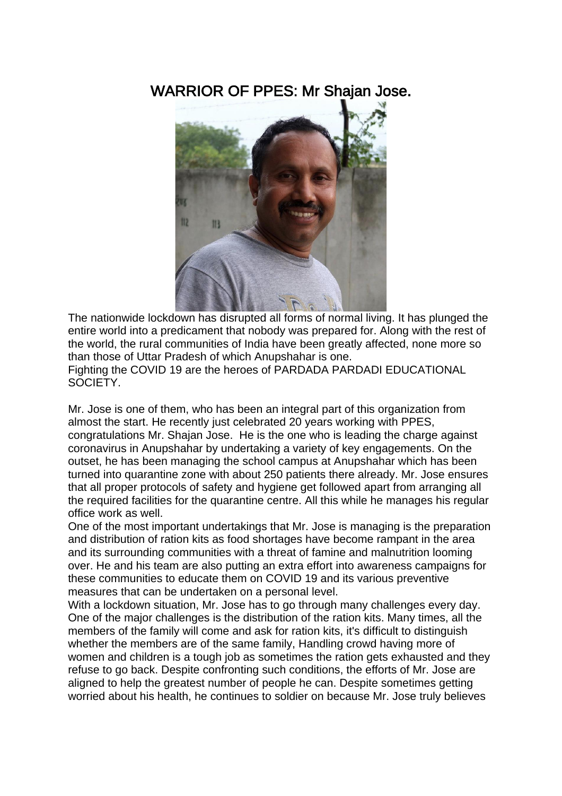## WARRIOR OF PPES: Mr Shajan Jose.



The nationwide lockdown has disrupted all forms of normal living. It has plunged the entire world into a predicament that nobody was prepared for. Along with the rest of the world, the rural communities of India have been greatly affected, none more so than those of Uttar Pradesh of which Anupshahar is one.

Fighting the COVID 19 are the heroes of PARDADA PARDADI EDUCATIONAL SOCIETY.

Mr. Jose is one of them, who has been an integral part of this organization from almost the start. He recently just celebrated 20 years working with PPES, congratulations Mr. Shajan Jose. He is the one who is leading the charge against coronavirus in Anupshahar by undertaking a variety of key engagements. On the outset, he has been managing the school campus at Anupshahar which has been turned into quarantine zone with about 250 patients there already. Mr. Jose ensures that all proper protocols of safety and hygiene get followed apart from arranging all the required facilities for the quarantine centre. All this while he manages his regular office work as well.

One of the most important undertakings that Mr. Jose is managing is the preparation and distribution of ration kits as food shortages have become rampant in the area and its surrounding communities with a threat of famine and malnutrition looming over. He and his team are also putting an extra effort into awareness campaigns for these communities to educate them on COVID 19 and its various preventive measures that can be undertaken on a personal level.

With a lockdown situation, Mr. Jose has to go through many challenges every day. One of the major challenges is the distribution of the ration kits. Many times, all the members of the family will come and ask for ration kits, it's difficult to distinguish whether the members are of the same family, Handling crowd having more of women and children is a tough job as sometimes the ration gets exhausted and they refuse to go back. Despite confronting such conditions, the efforts of Mr. Jose are aligned to help the greatest number of people he can. Despite sometimes getting worried about his health, he continues to soldier on because Mr. Jose truly believes